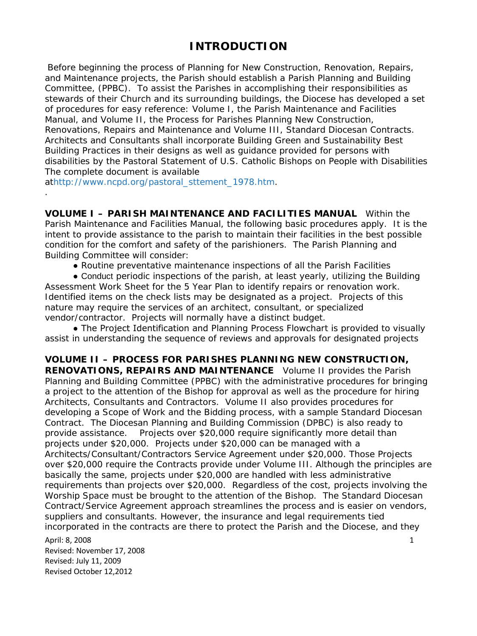## **INTRODUCTION**

Before beginning the process of Planning for New Construction, Renovation, Repairs, and Maintenance projects, the Parish should establish a Parish Planning and Building Committee, (PPBC). To assist the Parishes in accomplishing their responsibilities as stewards of their Church and its surrounding buildings, the Diocese has developed a set of procedures for easy reference: Volume I, the Parish Maintenance and Facilities Manual, and Volume II, the Process for Parishes Planning New Construction, Renovations, Repairs and Maintenance and Volume III, Standard Diocesan Contracts. Architects and Consultants shall incorporate Building Green and Sustainability Best Building Practices in their designs as well as guidance provided for persons with disabilities by the *Pastoral Statement of U.S. Catholic Bishops on People with Disabilities* The complete document is available

a[thttp://www.ncpd.org/pastoral\\_sttement\\_1978.htm.](http://www.ncpd.org/pastoral_sttement_1978.htm)

.

**VOLUME I – PARISH MAINTENANCE AND FACILITIES MANUAL** Within the Parish Maintenance and Facilities Manual, the following basic procedures apply. It is the intent to provide assistance to the parish to maintain their facilities in the best possible condition for the comfort and safety of the parishioners. The Parish Planning and Building Committee will consider:

● Routine preventative maintenance inspections of all the Parish Facilities

• Conduct periodic inspections of the parish, at least yearly, utilizing the Building Assessment Work Sheet for the 5 Year Plan to identify repairs or renovation work. Identified items on the check lists may be designated as a project. Projects of this nature may require the services of an architect, consultant, or specialized vendor/contractor. Projects will normally have a distinct budget.

• The Project Identification and Planning Process Flowchart is provided to visually assist in understanding the sequence of reviews and approvals for designated projects

**VOLUME II – PROCESS FOR PARISHES PLANNING NEW CONSTRUCTION, RENOVATIONS, REPAIRS AND MAINTENANCE** Volume II provides the Parish Planning and Building Committee (PPBC) with the administrative procedures for bringing a project to the attention of the Bishop for approval as well as the procedure for hiring Architects, Consultants and Contractors. Volume II also provides procedures for developing a Scope of Work and the Bidding process, with a sample Standard Diocesan Contract. The Diocesan Planning and Building Commission (DPBC) is also ready to provide assistance. Projects over \$20,000 require significantly more detail than projects under \$20,000. Projects under \$20,000 can be managed with a Architects/Consultant/Contractors Service Agreement under \$20,000. Those Projects over \$20,000 require the Contracts provide under Volume III. Although the principles are basically the same, projects under \$20,000 are handled with less administrative requirements than projects over \$20,000. Regardless of the cost, projects involving the Worship Space must be brought to the attention of the Bishop. The Standard Diocesan Contract/Service Agreement approach streamlines the process and is easier on vendors, suppliers and consultants. However, the insurance and legal requirements tied incorporated in the contracts are there to protect the Parish and the Diocese, and they

April: 8, 2008 2008 2012 12:00 12:00 12:00 12:00 12:00 12:00 12:00 12:00 12:00 12:00 12:00 12:00 12:00 12:00 1 Revised: November 17, 2008 Revised: July 11, 2009 Revised October 12,2012